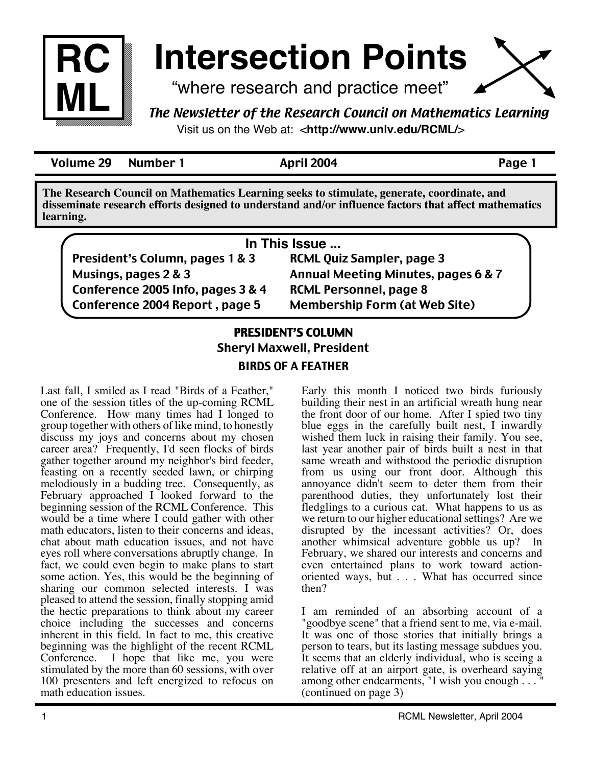

# **Intersection Points**

"where research and practice meet"

*The Newsletter of the Research Council on Mathematics Learning* Visit us on the Web at: <**http://www.unlv.edu/RCML/**>

Volume 29 Number 1 April 2004 Page 1

**The Research Council on Mathematics Learning seeks to stimulate, generate, coordinate, and disseminate research efforts designed to understand and/or influence factors that affect mathematics learning.**

| In This Issue                     |                                      |
|-----------------------------------|--------------------------------------|
| President's Column, pages 1 & 3   | <b>RCML Quiz Sampler, page 3</b>     |
| Musings, pages 2 & 3              | Annual Meeting Minutes, pages 6 & 7  |
| Conference 2005 Info, pages 3 & 4 | <b>RCML Personnel, page 8</b>        |
| Conference 2004 Report, page 5    | <b>Membership Form (at Web Site)</b> |

#### PRESIDENT'S COLUMN Sheryl Maxwell, President

### BIRDS OF A FEATHER

Last fall, I smiled as I read "Birds of a Feather," one of the session titles of the up-coming RCML Conference. How many times had I longed to group together with others of like mind, to honestly discuss my joys and concerns about my chosen career area? Frequently, I'd seen flocks of birds gather together around my neighbor's bird feeder, feasting on a recently seeded lawn, or chirping melodiously in a budding tree. Consequently, as February approached I looked forward to the beginning session of the RCML Conference. This would be a time where I could gather with other math educators, listen to their concerns and ideas, chat about math education issues, and not have eyes roll where conversations abruptly change. In fact, we could even begin to make plans to start some action. Yes, this would be the beginning of sharing our common selected interests. I was pleased to attend the session, finally stopping amid the hectic preparations to think about my career choice including the successes and concerns inherent in this field. In fact to me, this creative beginning was the highlight of the recent RCML Conference. I hope that like me, you were stimulated by the more than 60 sessions, with over 100 presenters and left energized to refocus on math education issues.

Early this month I noticed two birds furiously building their nest in an artificial wreath hung near the front door of our home. After I spied two tiny blue eggs in the carefully built nest, I inwardly wished them luck in raising their family. You see, last year another pair of birds built a nest in that same wreath and withstood the periodic disruption from us using our front door. Although this annoyance didn't seem to deter them from their parenthood duties, they unfortunately lost their fledglings to a curious cat. What happens to us as we return to our higher educational settings? Are we disrupted by the incessant activities? Or, does another whimsical adventure gobble us up? In February, we shared our interests and concerns and even entertained plans to work toward actionoriented ways, but . . . What has occurred since then?

I am reminded of an absorbing account of a "goodbye scene" that a friend sent to me, via e-mail. It was one of those stories that initially brings a person to tears, but its lasting message subdues you. It seems that an elderly individual, who is seeing a relative off at an airport gate, is overheard saying among other endearments, "I wish you enough . . . (continued on page 3)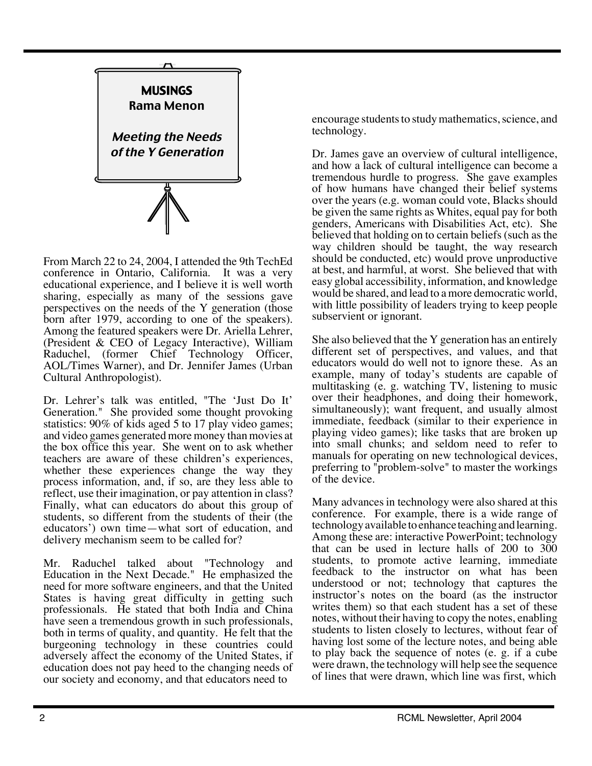

From March 22 to 24, 2004, I attended the 9th TechEd conference in Ontario, California. It was a very educational experience, and I believe it is well worth sharing, especially as many of the sessions gave perspectives on the needs of the Y generation (those born after 1979, according to one of the speakers). Among the featured speakers were Dr. Ariella Lehrer, (President & CEO of Legacy Interactive), William Raduchel, (former Chief Technology Officer, AOL/Times Warner), and Dr. Jennifer James (Urban Cultural Anthropologist).

Dr. Lehrer's talk was entitled, "The 'Just Do It' Generation." She provided some thought provoking statistics: 90% of kids aged 5 to 17 play video games; and video games generated more money than movies at the box office this year. She went on to ask whether teachers are aware of these children's experiences, whether these experiences change the way they process information, and, if so, are they less able to reflect, use their imagination, or pay attention in class? Finally, what can educators do about this group of students, so different from the students of their (the educators') own time—what sort of education, and delivery mechanism seem to be called for?

Mr. Raduchel talked about "Technology and Education in the Next Decade." He emphasized the need for more software engineers, and that the United States is having great difficulty in getting such professionals. He stated that both India and China have seen a tremendous growth in such professionals, both in terms of quality, and quantity. He felt that the burgeoning technology in these countries could adversely affect the economy of the United States, if education does not pay heed to the changing needs of our society and economy, and that educators need to

encourage students to study mathematics, science, and technology.

Dr. James gave an overview of cultural intelligence, and how a lack of cultural intelligence can become a tremendous hurdle to progress. She gave examples of how humans have changed their belief systems over the years (e.g. woman could vote, Blacks should be given the same rights as Whites, equal pay for both genders, Americans with Disabilities Act, etc). She believed that holding on to certain beliefs (such as the way children should be taught, the way research should be conducted, etc) would prove unproductive at best, and harmful, at worst. She believed that with easy global accessibility, information, and knowledge would be shared, and lead to a more democratic world, with little possibility of leaders trying to keep people subservient or ignorant.

She also believed that the Y generation has an entirely different set of perspectives, and values, and that educators would do well not to ignore these. As an example, many of today's students are capable of multitasking (e. g. watching TV, listening to music over their headphones, and doing their homework, simultaneously); want frequent, and usually almost immediate, feedback (similar to their experience in playing video games); like tasks that are broken up into small chunks; and seldom need to refer to manuals for operating on new technological devices, preferring to "problem-solve" to master the workings of the device.

Many advances in technology were also shared at this conference. For example, there is a wide range of technology available to enhance teaching and learning. Among these are: interactive PowerPoint; technology that can be used in lecture halls of 200 to 300 students, to promote active learning, immediate feedback to the instructor on what has been understood or not; technology that captures the instructor's notes on the board (as the instructor writes them) so that each student has a set of these notes, without their having to copy the notes, enabling students to listen closely to lectures, without fear of having lost some of the lecture notes, and being able to play back the sequence of notes (e. g. if a cube were drawn, the technology will help see the sequence of lines that were drawn, which line was first, which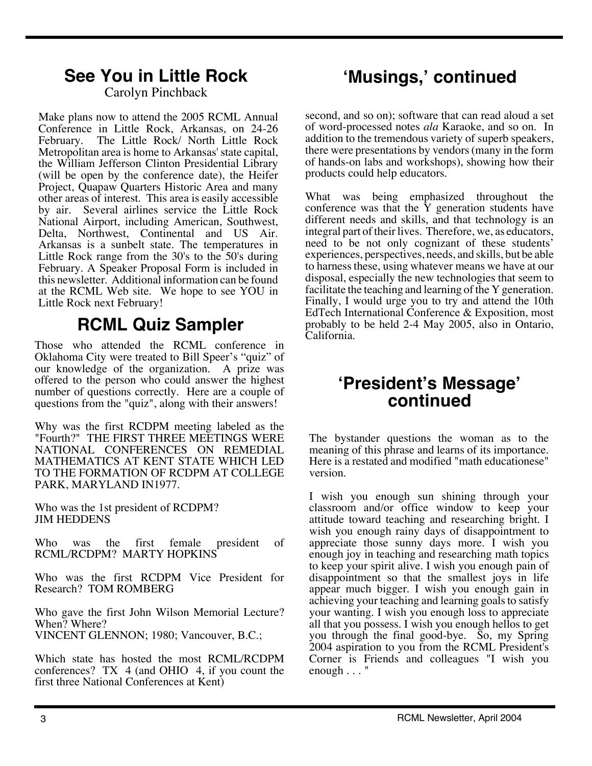## **See You in Little Rock 'Musings,' continued**

Carolyn Pinchback

Make plans now to attend the 2005 RCML Annual Conference in Little Rock, Arkansas, on 24-26 February. The Little Rock/ North Little Rock Metropolitan area is home to Arkansas' state capital, the William Jefferson Clinton Presidential Library (will be open by the conference date), the Heifer Project, Quapaw Quarters Historic Area and many other areas of interest. This area is easily accessible by air. Several airlines service the Little Rock National Airport, including American, Southwest, Delta, Northwest, Continental and US Air. Arkansas is a sunbelt state. The temperatures in Little Rock range from the 30's to the 50's during February. A Speaker Proposal Form is included in this newsletter. Additional information can be found at the RCML Web site. We hope to see YOU in Little Rock next February!

### **RCML Quiz Sampler**

Those who attended the RCML conference in Oklahoma City were treated to Bill Speer's "quiz" of our knowledge of the organization. A prize was offered to the person who could answer the highest number of questions correctly. Here are a couple of questions from the "quiz", along with their answers!

Why was the first RCDPM meeting labeled as the "Fourth?" THE FIRST THREE MEETINGS WERE NATIONAL CONFERENCES ON REMEDIAL MATHEMATICS AT KENT STATE WHICH LED TO THE FORMATION OF RCDPM AT COLLEGE PARK, MARYLAND IN1977.

Who was the 1st president of RCDPM? JIM HEDDENS

Who was the first female president of RCML/RCDPM? MARTY HOPKINS

Who was the first RCDPM Vice President for Research? TOM ROMBERG

Who gave the first John Wilson Memorial Lecture? When? Where? VINCENT GLENNON; 1980; Vancouver, B.C.;

Which state has hosted the most RCML/RCDPM conferences? TX 4 (and OHIO 4, if you count the first three National Conferences at Kent)

second, and so on); software that can read aloud a set of word-processed notes *ala* Karaoke, and so on. In addition to the tremendous variety of superb speakers, there were presentations by vendors (many in the form of hands-on labs and workshops), showing how their products could help educators.

What was being emphasized throughout the conference was that the  $\tilde{Y}$  generation students have different needs and skills, and that technology is an integral part of their lives. Therefore, we, as educators, need to be not only cognizant of these students' experiences, perspectives, needs, and skills, but be able to harness these, using whatever means we have at our disposal, especially the new technologies that seem to facilitate the teaching and learning of the Y generation. Finally, I would urge you to try and attend the 10th EdTech International Conference & Exposition, most probably to be held 2-4 May 2005, also in Ontario, California.

### **'President's Message' continued**

The bystander questions the woman as to the meaning of this phrase and learns of its importance. Here is a restated and modified "math educationese" version.

I wish you enough sun shining through your classroom and/or office window to keep your attitude toward teaching and researching bright. I wish you enough rainy days of disappointment to appreciate those sunny days more. I wish you enough joy in teaching and researching math topics to keep your spirit alive. I wish you enough pain of disappointment so that the smallest joys in life appear much bigger. I wish you enough gain in achieving your teaching and learning goals to satisfy your wanting. I wish you enough loss to appreciate all that you possess. I wish you enough hellos to get you through the final good-bye. So, my Spring 2004 aspiration to you from the RCML President's Corner is Friends and colleagues "I wish you enough . . . "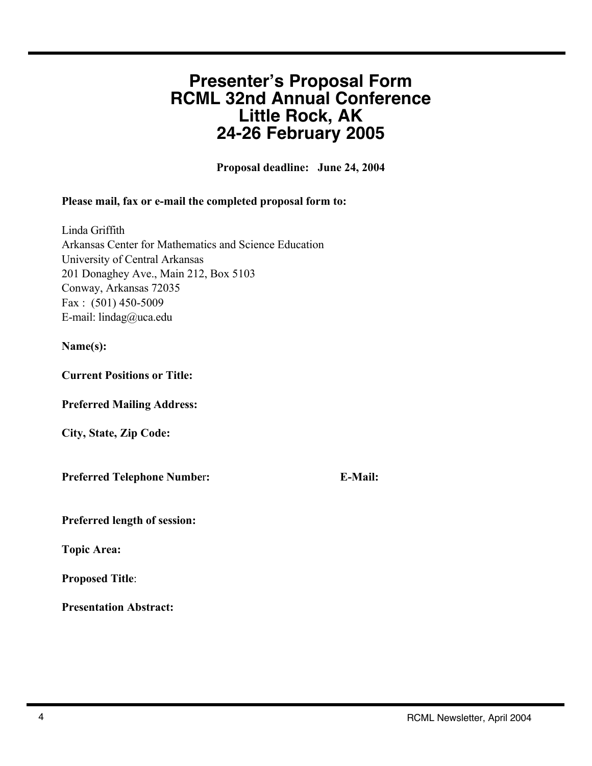### **Presenter's Proposal Form RCML 32nd Annual Conference Little Rock, AK 24-26 February 2005**

Proposal deadline: June 24, 2004

#### Please mail, fax or e-mail the completed proposal form to:

Linda Griffith Arkansas Center for Mathematics and Science Education University of Central Arkansas 201 Donaghey Ave., Main 212, Box 5103 Conway, Arkansas 72035 Fax : (501) 450-5009 E-mail: lindag@uca.edu

#### Name(s):

Current Positions or Title:

Preferred Mailing Address:

City, State, Zip Code:

Preferred Telephone Number: E-Mail:

Preferred length of session:

Topic Area:

Proposed Title:

Presentation Abstract: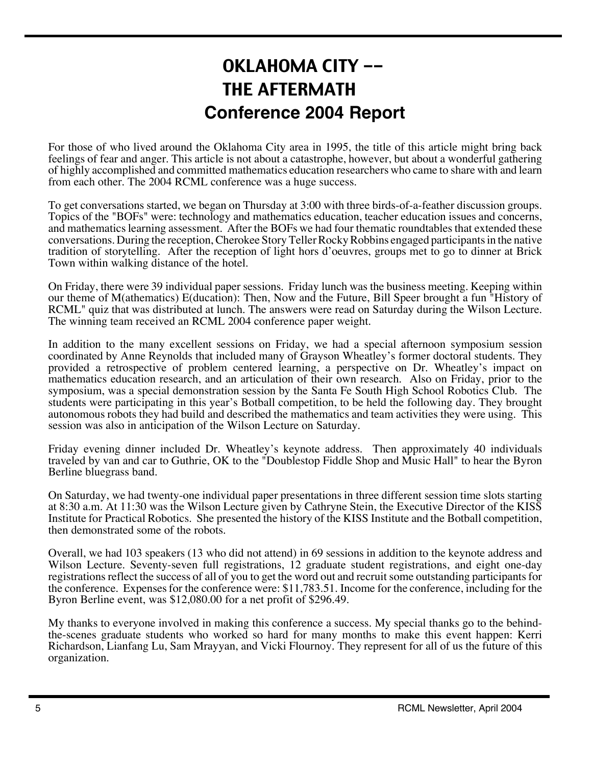### OKLAHOMA CITY -- THE AFTERMATH **Conference 2004 Report**

For those of who lived around the Oklahoma City area in 1995, the title of this article might bring back feelings of fear and anger. This article is not about a catastrophe, however, but about a wonderful gathering of highly accomplished and committed mathematics education researchers who came to share with and learn from each other. The 2004 RCML conference was a huge success.

To get conversations started, we began on Thursday at 3:00 with three birds-of-a-feather discussion groups. Topics of the "BOFs" were: technology and mathematics education, teacher education issues and concerns, and mathematics learning assessment. After the BOFs we had four thematic roundtables that extended these conversations. During the reception, Cherokee Story Teller Rocky Robbins engaged participants in the native tradition of storytelling. After the reception of light hors d'oeuvres, groups met to go to dinner at Brick Town within walking distance of the hotel.

On Friday, there were 39 individual paper sessions. Friday lunch was the business meeting. Keeping within our theme of M(athematics) E(ducation): Then, Now and the Future, Bill Speer brought a fun "History of RCML" quiz that was distributed at lunch. The answers were read on Saturday during the Wilson Lecture. The winning team received an RCML 2004 conference paper weight.

In addition to the many excellent sessions on Friday, we had a special afternoon symposium session coordinated by Anne Reynolds that included many of Grayson Wheatley's former doctoral students. They provided a retrospective of problem centered learning, a perspective on Dr. Wheatley's impact on mathematics education research, and an articulation of their own research. Also on Friday, prior to the symposium, was a special demonstration session by the Santa Fe South High School Robotics Club. The students were participating in this year's Botball competition, to be held the following day. They brought autonomous robots they had build and described the mathematics and team activities they were using. This session was also in anticipation of the Wilson Lecture on Saturday.

Friday evening dinner included Dr. Wheatley's keynote address. Then approximately 40 individuals traveled by van and car to Guthrie, OK to the "Doublestop Fiddle Shop and Music Hall" to hear the Byron Berline bluegrass band.

On Saturday, we had twenty-one individual paper presentations in three different session time slots starting at 8:30 a.m. At 11:30 was the Wilson Lecture given by Cathryne Stein, the Executive Director of the KISS Institute for Practical Robotics. She presented the history of the KISS Institute and the Botball competition, then demonstrated some of the robots.

Overall, we had 103 speakers (13 who did not attend) in 69 sessions in addition to the keynote address and Wilson Lecture. Seventy-seven full registrations, 12 graduate student registrations, and eight one-day registrations reflect the success of all of you to get the word out and recruit some outstanding participants for the conference. Expenses for the conference were: \$11,783.51. Income for the conference, including for the Byron Berline event, was \$12,080.00 for a net profit of \$296.49.

My thanks to everyone involved in making this conference a success. My special thanks go to the behindthe-scenes graduate students who worked so hard for many months to make this event happen: Kerri Richardson, Lianfang Lu, Sam Mrayyan, and Vicki Flournoy. They represent for all of us the future of this organization.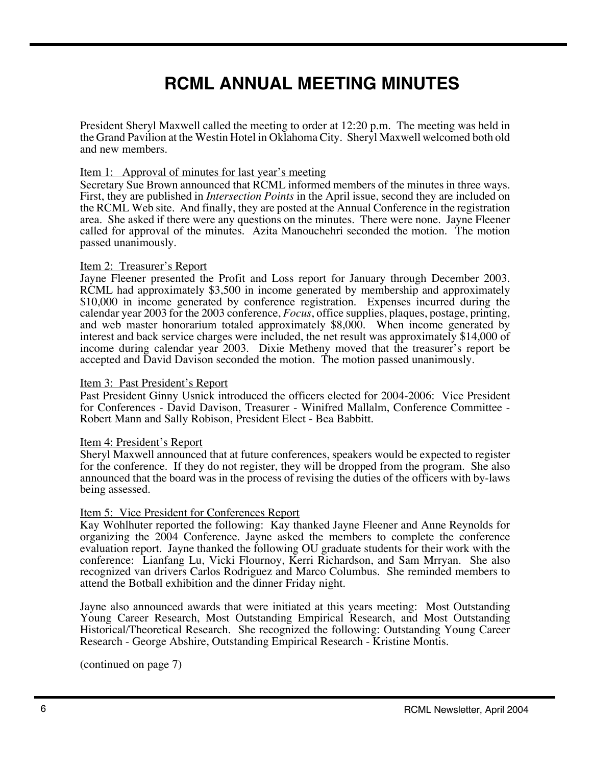### **RCML ANNUAL MEETING MINUTES**

President Sheryl Maxwell called the meeting to order at 12:20 p.m. The meeting was held in the Grand Pavilion at the Westin Hotel in Oklahoma City. Sheryl Maxwell welcomed both old and new members.

#### Item 1: Approval of minutes for last year's meeting

Secretary Sue Brown announced that RCML informed members of the minutes in three ways. First, they are published in *Intersection Points* in the April issue, second they are included on the RCML Web site. And finally, they are posted at the Annual Conference in the registration area. She asked if there were any questions on the minutes. There were none. Jayne Fleener called for approval of the minutes. Azita Manouchehri seconded the motion. The motion passed unanimously.

#### Item 2: Treasurer's Report

Jayne Fleener presented the Profit and Loss report for January through December 2003. RCML had approximately \$3,500 in income generated by membership and approximately \$10,000 in income generated by conference registration. Expenses incurred during the calendar year 2003 for the 2003 conference, *Focus*, office supplies, plaques, postage, printing, and web master honorarium totaled approximately \$8,000. When income generated by interest and back service charges were included, the net result was approximately \$14,000 of income during calendar year 2003. Dixie Metheny moved that the treasurer's report be accepted and David Davison seconded the motion. The motion passed unanimously.

#### Item 3: Past President's Report

Past President Ginny Usnick introduced the officers elected for 2004-2006: Vice President for Conferences - David Davison, Treasurer - Winifred Mallalm, Conference Committee - Robert Mann and Sally Robison, President Elect - Bea Babbitt.

#### Item 4: President's Report

Sheryl Maxwell announced that at future conferences, speakers would be expected to register for the conference. If they do not register, they will be dropped from the program. She also announced that the board was in the process of revising the duties of the officers with by-laws being assessed.

#### Item 5: Vice President for Conferences Report

Kay Wohlhuter reported the following: Kay thanked Jayne Fleener and Anne Reynolds for organizing the 2004 Conference. Jayne asked the members to complete the conference evaluation report. Jayne thanked the following OU graduate students for their work with the conference: Lianfang Lu, Vicki Flournoy, Kerri Richardson, and Sam Mrryan. She also recognized van drivers Carlos Rodriguez and Marco Columbus. She reminded members to attend the Botball exhibition and the dinner Friday night.

Jayne also announced awards that were initiated at this years meeting: Most Outstanding Young Career Research, Most Outstanding Empirical Research, and Most Outstanding Historical/Theoretical Research. She recognized the following: Outstanding Young Career Research - George Abshire, Outstanding Empirical Research - Kristine Montis.

(continued on page 7)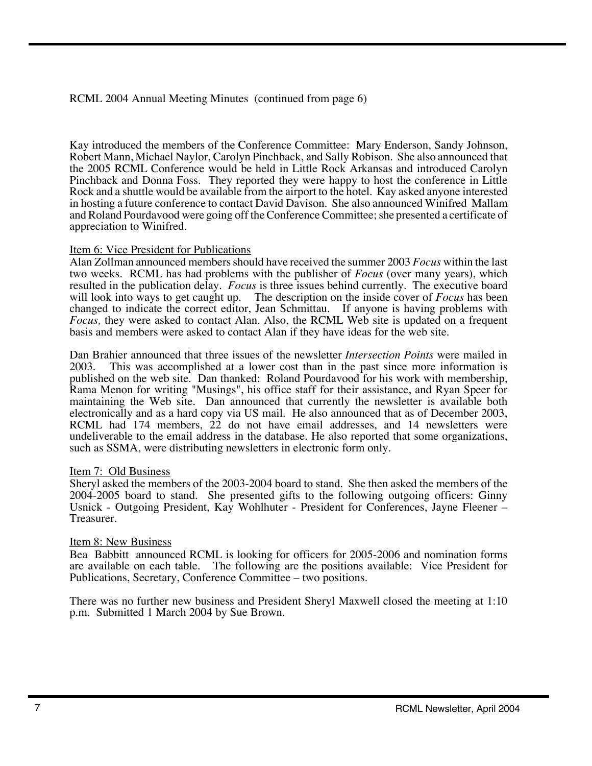RCML 2004 Annual Meeting Minutes (continued from page 6)

Kay introduced the members of the Conference Committee: Mary Enderson, Sandy Johnson, Robert Mann, Michael Naylor, Carolyn Pinchback, and Sally Robison. She also announced that the 2005 RCML Conference would be held in Little Rock Arkansas and introduced Carolyn Pinchback and Donna Foss. They reported they were happy to host the conference in Little Rock and a shuttle would be available from the airport to the hotel. Kay asked anyone interested in hosting a future conference to contact David Davison. She also announced Winifred Mallam and Roland Pourdavood were going off the Conference Committee; she presented a certificate of appreciation to Winifred.

#### Item 6: Vice President for Publications

Alan Zollman announced members should have received the summer 2003 *Focus* within the last two weeks. RCML has had problems with the publisher of *Focus* (over many years), which resulted in the publication delay. *Focus* is three issues behind currently. The executive board will look into ways to get caught up. The description on the inside cover of *Focus* has been changed to indicate the correct editor, Jean Schmittau. If anyone is having problems with *Focus,* they were asked to contact Alan. Also, the RCML Web site is updated on a frequent basis and members were asked to contact Alan if they have ideas for the web site.

Dan Brahier announced that three issues of the newsletter *Intersection Points* were mailed in 2003. This was accomplished at a lower cost than in the past since more information is published on the web site. Dan thanked: Roland Pourdavood for his work with membership, Rama Menon for writing "Musings", his office staff for their assistance, and Ryan Speer for maintaining the Web site. Dan announced that currently the newsletter is available both electronically and as a hard copy via US mail. He also announced that as of December 2003, RCML had 174 members, 22 do not have email addresses, and 14 newsletters were undeliverable to the email address in the database. He also reported that some organizations, such as SSMA, were distributing newsletters in electronic form only.

#### Item 7: Old Business

Sheryl asked the members of the 2003-2004 board to stand. She then asked the members of the 2004-2005 board to stand. She presented gifts to the following outgoing officers: Ginny Usnick - Outgoing President, Kay Wohlhuter - President for Conferences, Jayne Fleener – Treasurer.

#### Item 8: New Business

Bea Babbitt announced RCML is looking for officers for 2005-2006 and nomination forms are available on each table. The following are the positions available: Vice President for Publications, Secretary, Conference Committee – two positions.

There was no further new business and President Sheryl Maxwell closed the meeting at 1:10 p.m. Submitted 1 March 2004 by Sue Brown.